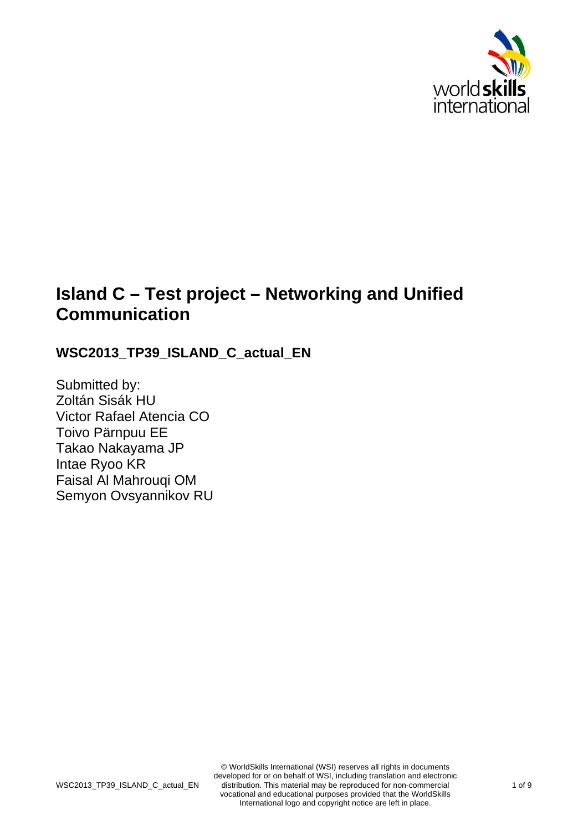

# **Island C – Test project – Networking and Unified Communication**

# WSC2013 TP39 ISLAND C actual EN

Submitted by: Zoltán Sisák HU Victor Rafael Atencia CO Toivo Pärnpuu EE Takao Nakayama JP Intae Ryoo KR Faisal Al Mahrouqi OM Semyon Ovsyannikov RU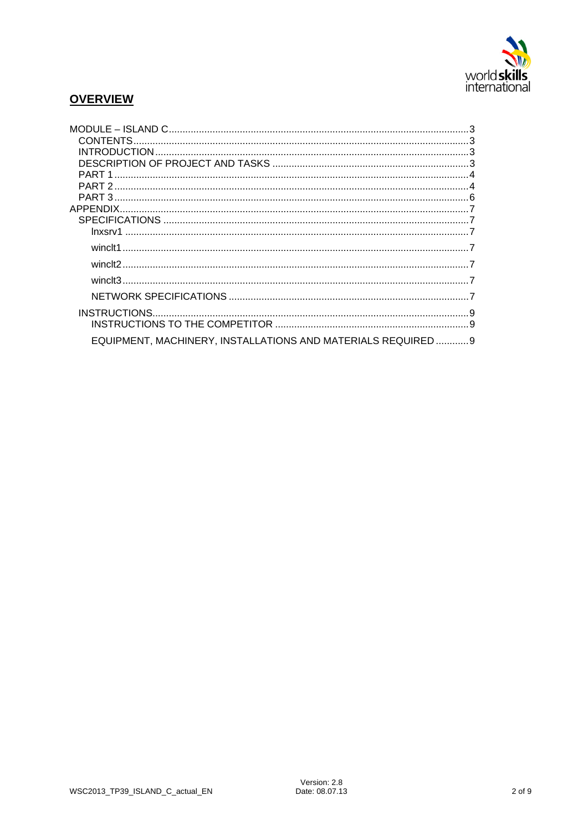

# **OVERVIEW**

| EQUIPMENT, MACHINERY, INSTALLATIONS AND MATERIALS REQUIRED  9 |  |
|---------------------------------------------------------------|--|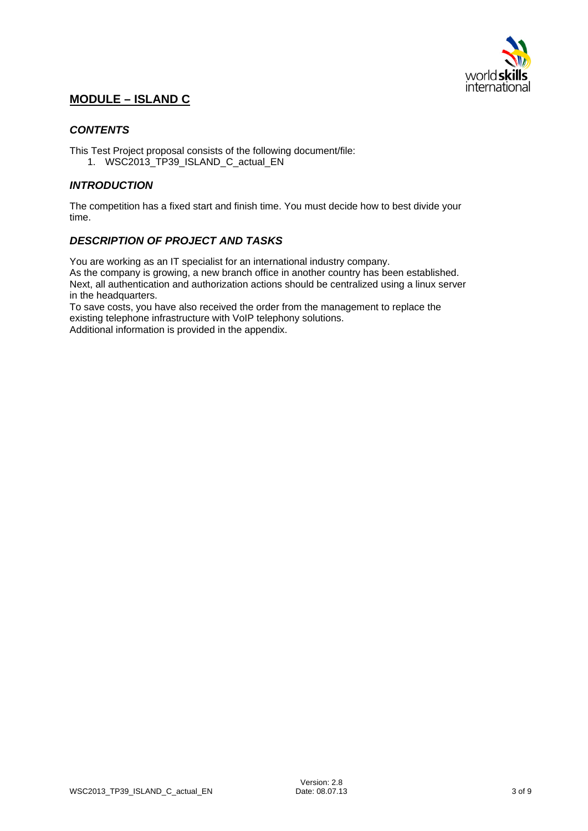

# **MODULE – ISLAND C**

## *CONTENTS*

This Test Project proposal consists of the following document/file:

1. WSC2013\_TP39\_ISLAND\_C\_actual\_EN

## *INTRODUCTION*

The competition has a fixed start and finish time. You must decide how to best divide your time.

## *DESCRIPTION OF PROJECT AND TASKS*

You are working as an IT specialist for an international industry company.

As the company is growing, a new branch office in another country has been established. Next, all authentication and authorization actions should be centralized using a linux server in the headquarters.

To save costs, you have also received the order from the management to replace the existing telephone infrastructure with VoIP telephony solutions. Additional information is provided in the appendix.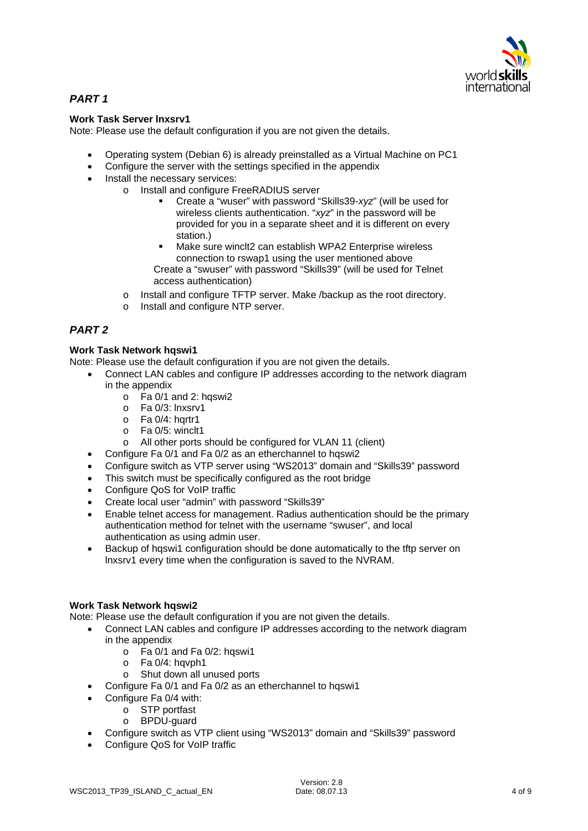

# *PART 1*

#### **Work Task Server lnxsrv1**

Note: Please use the default configuration if you are not given the details.

- Operating system (Debian 6) is already preinstalled as a Virtual Machine on PC1
- Configure the server with the settings specified in the appendix
- Install the necessary services:
	- o Install and configure FreeRADIUS server
		- Create a "wuser" with password "Skills39-*xyz*" (will be used for wireless clients authentication. "*xyz*" in the password will be provided for you in a separate sheet and it is different on every station.)
		- Make sure winclt2 can establish WPA2 Enterprise wireless connection to rswap1 using the user mentioned above Create a "swuser" with password "Skills39" (will be used for Telnet
		- access authentication) o Install and configure TFTP server. Make /backup as the root directory.
		- o Install and configure NTP server.

# *PART 2*

## **Work Task Network hqswi1**

Note: Please use the default configuration if you are not given the details.

- Connect LAN cables and configure IP addresses according to the network diagram in the appendix
	- $\circ$  Fa 0/1 and 2: haswi2
	- o Fa 0/3: lnxsrv1
	- $\circ$  Fa 0/4: hartr1
	- o Fa 0/5: winclt1
	- o All other ports should be configured for VLAN 11 (client)
	- Configure Fa 0/1 and Fa 0/2 as an etherchannel to hqswi2
	- Configure switch as VTP server using "WS2013" domain and "Skills39" password
	- This switch must be specifically configured as the root bridge
	- Configure QoS for VoIP traffic
	- Create local user "admin" with password "Skills39"
	- Enable telnet access for management. Radius authentication should be the primary authentication method for telnet with the username "swuser", and local authentication as using admin user.
	- Backup of hqswi1 configuration should be done automatically to the tftp server on lnxsrv1 every time when the configuration is saved to the NVRAM.

#### **Work Task Network hqswi2**

Note: Please use the default configuration if you are not given the details.

- Connect LAN cables and configure IP addresses according to the network diagram in the appendix
	- $\circ$  Fa 0/1 and Fa 0/2: hqswi1
	- o Fa 0/4: hqvph1
	- o Shut down all unused ports
- Configure Fa 0/1 and Fa 0/2 as an etherchannel to hqswi1
- Configure Fa 0/4 with:
	- o STP portfast
	- o BPDU-guard
- Configure switch as VTP client using "WS2013" domain and "Skills39" password
- Configure QoS for VoIP traffic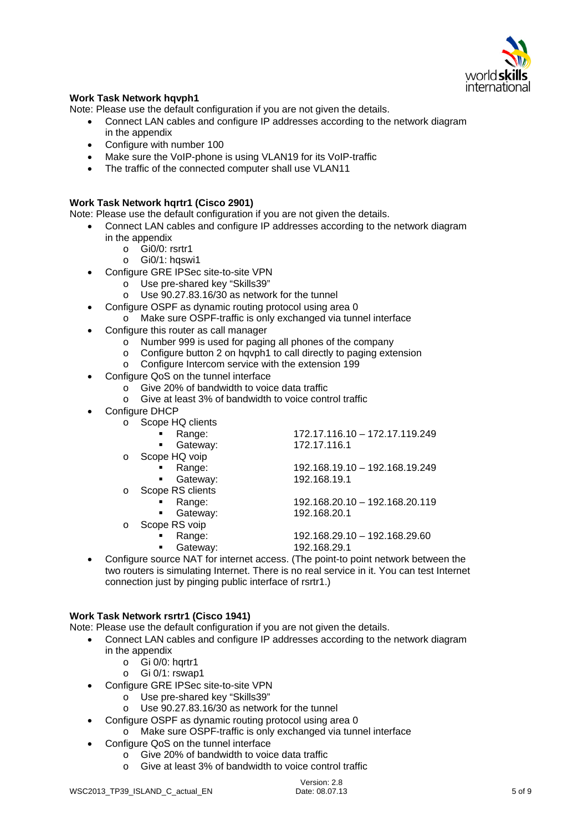

#### **Work Task Network hqvph1**

Note: Please use the default configuration if you are not given the details.

- Connect LAN cables and configure IP addresses according to the network diagram in the appendix
- Configure with number 100
- Make sure the VoIP-phone is using VLAN19 for its VoIP-traffic
- The traffic of the connected computer shall use VLAN11

#### **Work Task Network hqrtr1 (Cisco 2901)**

Note: Please use the default configuration if you are not given the details.

- Connect LAN cables and configure IP addresses according to the network diagram
	- in the appendix
		- o Gi0/0: rsrtr1
		- $\circ$  Gi0/1: hqswi1
	- Configure GRE IPSec site-to-site VPN
		- o Use pre-shared key "Skills39"
		- o Use 90.27.83.16/30 as network for the tunnel
	- Configure OSPF as dynamic routing protocol using area 0
		- o Make sure OSPF-traffic is only exchanged via tunnel interface
	- Configure this router as call manager
		- $\circ$  Number 999 is used for paging all phones of the company
		- o Configure button 2 on hqvph1 to call directly to paging extension
		- o Configure Intercom service with the extension 199
	- Configure QoS on the tunnel interface
		- o Give 20% of bandwidth to voice data traffic
		- o Give at least 3% of bandwidth to voice control traffic
	- Configure DHCP

| O | Scope HQ clients           |                                                                           |
|---|----------------------------|---------------------------------------------------------------------------|
|   | Range:<br>$\blacksquare$   | 172.17.116.10 - 172.17.119.249                                            |
|   | Gateway:<br>$\blacksquare$ | 172.17.116.1                                                              |
| O | Scope HQ voip              |                                                                           |
|   | Range:<br>$\blacksquare$   | 192.168.19.10 - 192.168.19.249                                            |
|   | Gateway:<br>$\blacksquare$ | 192.168.19.1                                                              |
| O | Scope RS clients           |                                                                           |
|   | Range:<br>$\blacksquare$   | 192.168.20.10 - 192.168.20.119                                            |
|   | Gateway:<br>$\blacksquare$ | 192.168.20.1                                                              |
| O | Scope RS voip              |                                                                           |
|   | Range:<br>$\blacksquare$   | 192.168.29.10 - 192.168.29.60                                             |
|   | Gateway:                   | 192.168.29.1                                                              |
|   |                            | figure source NAT for internet access. (The point-to point petwork betwee |

 Configure source NAT for internet access. (The point-to point network between the two routers is simulating Internet. There is no real service in it. You can test Internet connection just by pinging public interface of rsrtr1.)

#### **Work Task Network rsrtr1 (Cisco 1941)**

Note: Please use the default configuration if you are not given the details.

- Connect LAN cables and configure IP addresses according to the network diagram in the appendix
	- $\circ$  Gi 0/0: hartr1
	- o Gi 0/1: rswap1
- Configure GRE IPSec site-to-site VPN
	- o Use pre-shared key "Skills39"
	- $\circ$  Use 90.27.83.16/30 as network for the tunnel
- Configure OSPF as dynamic routing protocol using area 0
	- o Make sure OSPF-traffic is only exchanged via tunnel interface
- Configure QoS on the tunnel interface
	- $\overline{\circ}$  Give 20% of bandwidth to voice data traffic
	- o Give at least 3% of bandwidth to voice control traffic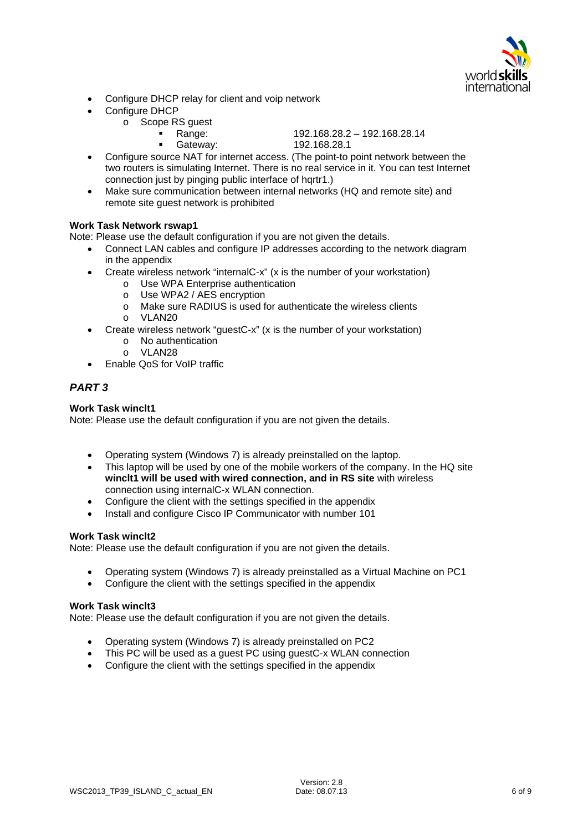

- Configure DHCP relay for client and voip network
- Configure DHCP
	- o Scope RS guest
		- Range: 192.168.28.2 192.168.28.14
			- Gateway: 192.168.28.1
- Configure source NAT for internet access. (The point-to point network between the two routers is simulating Internet. There is no real service in it. You can test Internet connection just by pinging public interface of hqrtr1.)
- Make sure communication between internal networks (HQ and remote site) and remote site guest network is prohibited

#### **Work Task Network rswap1**

Note: Please use the default configuration if you are not given the details.

- Connect LAN cables and configure IP addresses according to the network diagram in the appendix
	- Create wireless network "internalC-x" (x is the number of your workstation)
		- o Use WPA Enterprise authentication
		- o Use WPA2 / AES encryption
		- o Make sure RADIUS is used for authenticate the wireless clients
		- o VLAN20
- Create wireless network "guestC-x" (x is the number of your workstation)
	- o No authentication
	- o VLAN28
- Enable QoS for VoIP traffic

## *PART 3*

#### **Work Task winclt1**

Note: Please use the default configuration if you are not given the details.

- Operating system (Windows 7) is already preinstalled on the laptop.
- This laptop will be used by one of the mobile workers of the company. In the HQ site **winclt1 will be used with wired connection, and in RS site** with wireless connection using internalC-x WLAN connection.
- Configure the client with the settings specified in the appendix
- Install and configure Cisco IP Communicator with number 101

#### **Work Task winclt2**

Note: Please use the default configuration if you are not given the details.

- Operating system (Windows 7) is already preinstalled as a Virtual Machine on PC1
- Configure the client with the settings specified in the appendix

#### **Work Task winclt3**

Note: Please use the default configuration if you are not given the details.

- Operating system (Windows 7) is already preinstalled on PC2
- This PC will be used as a guest PC using guestC-x WLAN connection
- Configure the client with the settings specified in the appendix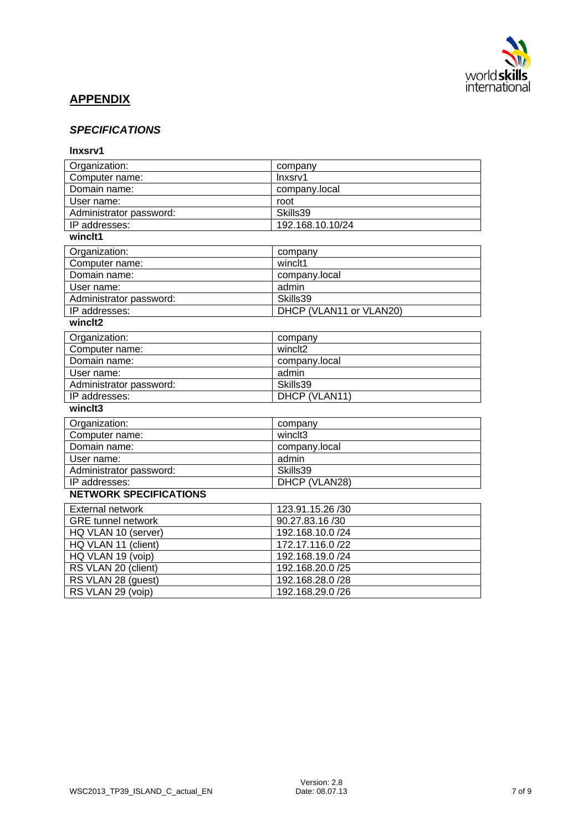

# **APPENDIX**

# *SPECIFICATIONS*

#### **lnxsrv1**

| Organization:                 | company                 |  |  |
|-------------------------------|-------------------------|--|--|
| Computer name:                | Inxsrv1                 |  |  |
| Domain name:                  | company.local           |  |  |
| User name:                    | root                    |  |  |
| Administrator password:       | Skills39                |  |  |
| IP addresses:                 | 192.168.10.10/24        |  |  |
| winclt1                       |                         |  |  |
| Organization:                 | company                 |  |  |
| Computer name:                | winclt1                 |  |  |
| Domain name:                  | company.local           |  |  |
| User name:                    | admin                   |  |  |
| Administrator password:       | Skills39                |  |  |
| IP addresses:                 | DHCP (VLAN11 or VLAN20) |  |  |
| winclt2                       |                         |  |  |
| Organization:                 | company                 |  |  |
| Computer name:                | winclt <sub>2</sub>     |  |  |
| Domain name:                  | company.local           |  |  |
| User name:                    | admin                   |  |  |
| Administrator password:       | Skills39                |  |  |
| IP addresses:                 | DHCP (VLAN11)           |  |  |
| winclt3                       |                         |  |  |
| Organization:                 | company                 |  |  |
| Computer name:                | winclt3                 |  |  |
| Domain name:                  | company.local           |  |  |
| User name:                    | admin                   |  |  |
| Administrator password:       | Skills39                |  |  |
| IP addresses:                 | DHCP (VLAN28)           |  |  |
| <b>NETWORK SPECIFICATIONS</b> |                         |  |  |
| <b>External network</b>       | 123.91.15.26 /30        |  |  |
| <b>GRE</b> tunnel network     | 90.27.83.16 /30         |  |  |
| HQ VLAN 10 (server)           | 192.168.10.0 /24        |  |  |
| HQ VLAN 11 (client)           | 172.17.116.0 /22        |  |  |
| HQ VLAN 19 (voip)             | 192.168.19.0 /24        |  |  |
| RS VLAN 20 (client)           | 192.168.20.0 /25        |  |  |
| RS VLAN 28 (guest)            | 192.168.28.0 /28        |  |  |
| RS VLAN 29 (voip)             | 192.168.29.0 /26        |  |  |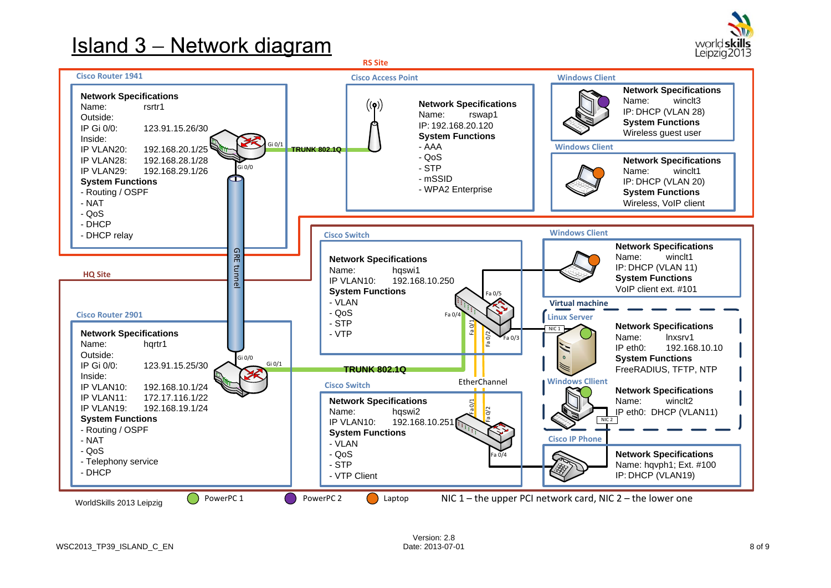# **Island 3 – Network diagram**



**RS Site**

![](_page_7_Figure_3.jpeg)